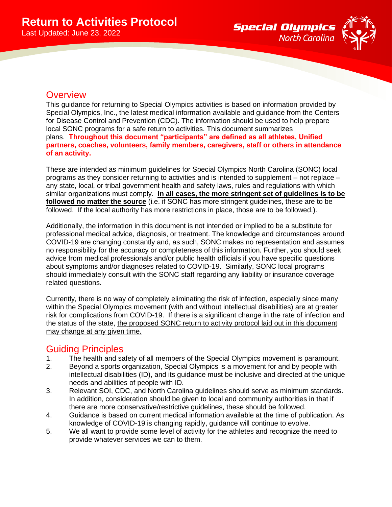

# **Overview**

This guidance for returning to Special Olympics activities is based on information provided by Special Olympics, Inc., the latest medical information available and guidance from the Centers for Disease Control and Prevention (CDC). The information should be used to help prepare local SONC programs for a safe return to activities. This document summarizes plans. **Throughout this document "participants" are defined as all athletes, Unified partners, coaches, volunteers, family members, caregivers, staff or others in attendance of an activity.**

These are intended as minimum guidelines for Special Olympics North Carolina (SONC) local programs as they consider returning to activities and is intended to supplement – not replace – any state, local, or tribal government health and safety laws, rules and regulations with which similar organizations must comply. **In all cases, the more stringent set of guidelines is to be followed no matter the source** (i.e. if SONC has more stringent guidelines, these are to be followed. If the local authority has more restrictions in place, those are to be followed.).

Additionally, the information in this document is not intended or implied to be a substitute for professional medical advice, diagnosis, or treatment. The knowledge and circumstances around COVID-19 are changing constantly and, as such, SONC makes no representation and assumes no responsibility for the accuracy or completeness of this information. Further, you should seek advice from medical professionals and/or public health officials if you have specific questions about symptoms and/or diagnoses related to COVID-19. Similarly, SONC local programs should immediately consult with the SONC staff regarding any liability or insurance coverage related questions.

Currently, there is no way of completely eliminating the risk of infection, especially since many within the Special Olympics movement (with and without intellectual disabilities) are at greater risk for complications from COVID-19. If there is a significant change in the rate of infection and the status of the state, the proposed SONC return to activity protocol laid out in this document may change at any given time.

# Guiding Principles

- 1. The health and safety of all members of the Special Olympics movement is paramount.
- 2. Beyond a sports organization, Special Olympics is a movement for and by people with intellectual disabilities (ID), and its guidance must be inclusive and directed at the unique needs and abilities of people with ID.
- 3. Relevant SOI, CDC, and North Carolina guidelines should serve as minimum standards. In addition, consideration should be given to local and community authorities in that if there are more conservative/restrictive guidelines, these should be followed.
- 4. Guidance is based on current medical information available at the time of publication. As knowledge of COVID-19 is changing rapidly, guidance will continue to evolve.
- 5. We all want to provide some level of activity for the athletes and recognize the need to provide whatever services we can to them.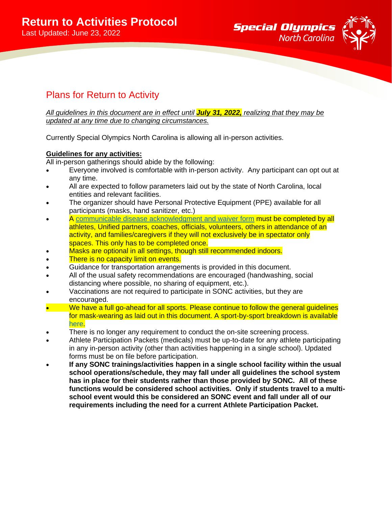

# Plans for Return to Activity

### *All guidelines in this document are in effect until July 31, 2022, realizing that they may be updated at any time due to changing circumstances.*

Currently Special Olympics North Carolina is allowing all in-person activities.

### **Guidelines for any activities:**

All in-person gatherings should abide by the following:

- Everyone involved is comfortable with in-person activity. Any participant can opt out at any time.
- All are expected to follow parameters laid out by the state of North Carolina, local entities and relevant facilities.
- The organizer should have Personal Protective Equipment (PPE) available for all participants (masks, hand sanitizer, etc.)
- A [communicable disease acknowledgment and waiver form](https://forms.office.com/Pages/ResponsePage.aspx?id=hUQ6Ym-1YUKUYG4c8OYxXX7O8OVVeVtFk9jhrAB4p99URVQ1T1cwT1BHSEtOVlY5RUY5RTQ2UjFFNiQlQCNjPTEu) must be completed by all athletes, Unified partners, coaches, officials, volunteers, others in attendance of an activity, and families/caregivers if they will not exclusively be in spectator only spaces. This only has to be completed once.
- Masks are optional in all settings, though still recommended indoors.
- There is no capacity limit on events.
- Guidance for transportation arrangements is provided in this document.
- All of the usual safety recommendations are encouraged (handwashing, social distancing where possible, no sharing of equipment, etc.).
- Vaccinations are not required to participate in SONC activities, but they are encouraged.
- We have a full go-ahead for all sports. Please continue to follow the general guidelines for mask-wearing as laid out in this document. A sport-by-sport breakdown is available [here.](https://specialolympicsnc.sharepoint.com/:w:/s/sports/EYt22zkMckRKik77-Cnsn2YBc3w53GWmXoKOTmZm4dRTAw?e=TskdEs)
- There is no longer any requirement to conduct the on-site screening process.
- Athlete Participation Packets (medicals) must be up-to-date for any athlete participating in any in-person activity (other than activities happening in a single school). Updated forms must be on file before participation.
- **If any SONC trainings/activities happen in a single school facility within the usual school operations/schedule, they may fall under all guidelines the school system has in place for their students rather than those provided by SONC. All of these functions would be considered school activities. Only if students travel to a multischool event would this be considered an SONC event and fall under all of our requirements including the need for a current Athlete Participation Packet.**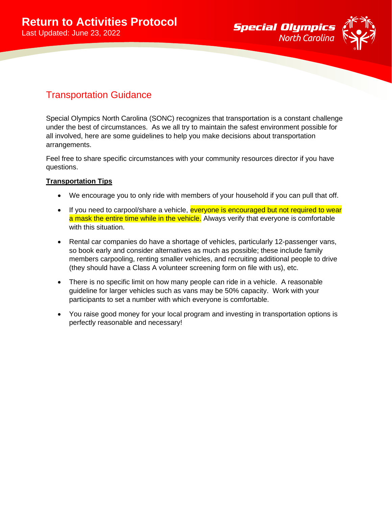

# Transportation Guidance

Special Olympics North Carolina (SONC) recognizes that transportation is a constant challenge under the best of circumstances. As we all try to maintain the safest environment possible for all involved, here are some guidelines to help you make decisions about transportation arrangements.

Feel free to share specific circumstances with your community resources director if you have questions.

## **Transportation Tips**

- We encourage you to only ride with members of your household if you can pull that off.
- If you need to carpool/share a vehicle, everyone is encouraged but not required to wear a mask the entire time while in the vehicle. Always verify that everyone is comfortable with this situation.
- Rental car companies do have a shortage of vehicles, particularly 12-passenger vans, so book early and consider alternatives as much as possible; these include family members carpooling, renting smaller vehicles, and recruiting additional people to drive (they should have a Class A volunteer screening form on file with us), etc.
- There is no specific limit on how many people can ride in a vehicle. A reasonable guideline for larger vehicles such as vans may be 50% capacity. Work with your participants to set a number with which everyone is comfortable.
- You raise good money for your local program and investing in transportation options is perfectly reasonable and necessary!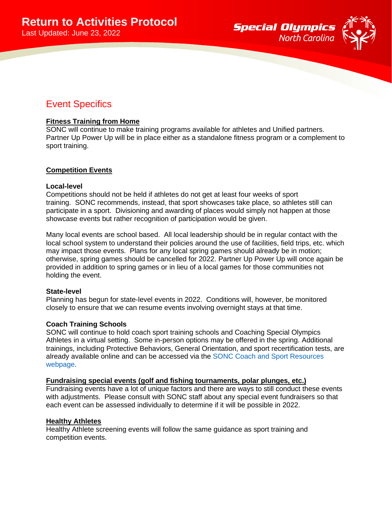

# Event Specifics

### **Fitness Training from Home**

SONC will continue to make training programs available for athletes and Unified partners. Partner Up Power Up will be in place either as a standalone fitness program or a complement to sport training.

#### **Competition Events**

#### **Local-level**

Competitions should not be held if athletes do not get at least four weeks of sport training. SONC recommends, instead, that sport showcases take place, so athletes still can participate in a sport. Divisioning and awarding of places would simply not happen at those showcase events but rather recognition of participation would be given.

Many local events are school based. All local leadership should be in regular contact with the local school system to understand their policies around the use of facilities, field trips, etc. which may impact those events. Plans for any local spring games should already be in motion; otherwise, spring games should be cancelled for 2022. Partner Up Power Up will once again be provided in addition to spring games or in lieu of a local games for those communities not holding the event.

#### **State-level**

Planning has begun for state-level events in 2022. Conditions will, however, be monitored closely to ensure that we can resume events involving overnight stays at that time.

#### **Coach Training Schools**

SONC will continue to hold coach sport training schools and Coaching Special Olympics Athletes in a virtual setting. Some in-person options may be offered in the spring. Additional trainings, including Protective Behaviors, General Orientation, and sport recertification tests, are already available online and can be accessed via the [SONC Coach and Sport Resources](https://sonc.net/get-involved/become-coach/coach-resources/)  [webpage.](https://sonc.net/get-involved/become-coach/coach-resources/)

#### **Fundraising special events (golf and fishing tournaments, polar plunges, etc.)**

Fundraising events have a lot of unique factors and there are ways to still conduct these events with adjustments. Please consult with SONC staff about any special event fundraisers so that each event can be assessed individually to determine if it will be possible in 2022.

#### **Healthy Athletes**

Healthy Athlete screening events will follow the same guidance as sport training and competition events.